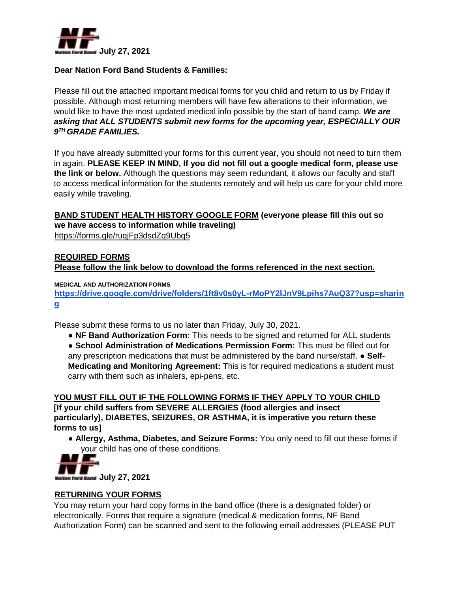

## **Dear Nation Ford Band Students & Families:**

Please fill out the attached important medical forms for you child and return to us by Friday if possible. Although most returning members will have few alterations to their information, we would like to have the most updated medical info possible by the start of band camp. *We are asking that ALL STUDENTS submit new forms for the upcoming year, ESPECIALLY OUR 9 TH GRADE FAMILIES.*

If you have already submitted your forms for this current year, you should not need to turn them in again. **PLEASE KEEP IN MIND, If you did not fill out a google medical form, please use the link or below.** Although the questions may seem redundant, it allows our faculty and staff to access medical information for the students remotely and will help us care for your child more easily while traveling.

**BAND STUDENT HEALTH HISTORY GOOGLE FORM (everyone please fill this out so we have access to information while traveling)** https://forms.gle/ruqjFp3dsdZq9Ubq5

#### **REQUIRED FORMS**

**Please follow the link below to download the forms referenced in the next section.**

#### **MEDICAL AND AUTHORIZATION FORMS**

**https://drive.google.com/drive/folders/1ft8v0s0yL-rMoPY2lJnV9Lpihs7AuQ37?usp=sharin g**

Please submit these forms to us no later than Friday, July 30, 2021.

● **NF Band Authorization Form:** This needs to be signed and returned for ALL students

● **School Administration of Medications Permission Form:** This must be filled out for any prescription medications that must be administered by the band nurse/staff. ● **Self-Medicating and Monitoring Agreement:** This is for required medications a student must carry with them such as inhalers, epi-pens, etc.

**YOU MUST FILL OUT IF THE FOLLOWING FORMS IF THEY APPLY TO YOUR CHILD [If your child suffers from SEVERE ALLERGIES (food allergies and insect particularly), DIABETES, SEIZURES, OR ASTHMA, it is imperative you return these forms to us]**

● **Allergy, Asthma, Diabetes, and Seizure Forms:** You only need to fill out these forms if your child has one of these conditions.



#### **RETURNING YOUR FORMS**

You may return your hard copy forms in the band office (there is a designated folder) or electronically. Forms that require a signature (medical & medication forms, NF Band Authorization Form) can be scanned and sent to the following email addresses (PLEASE PUT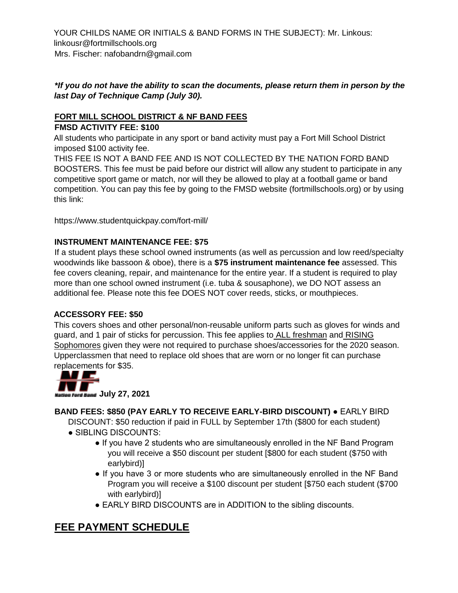YOUR CHILDS NAME OR INITIALS & BAND FORMS IN THE SUBJECT): Mr. Linkous: linkousr@fortmillschools.org Mrs. Fischer: nafobandrn@gmail.com

# *\*If you do not have the ability to scan the documents, please return them in person by the last Day of Technique Camp (July 30).*

## **FORT MILL SCHOOL DISTRICT & NF BAND FEES**

#### **FMSD ACTIVITY FEE: \$100**

All students who participate in any sport or band activity must pay a Fort Mill School District imposed \$100 activity fee.

THIS FEE IS NOT A BAND FEE AND IS NOT COLLECTED BY THE NATION FORD BAND BOOSTERS. This fee must be paid before our district will allow any student to participate in any competitive sport game or match, nor will they be allowed to play at a football game or band competition. You can pay this fee by going to the FMSD website (fortmillschools.org) or by using this link:

https://www.studentquickpay.com/fort-mill/

#### **INSTRUMENT MAINTENANCE FEE: \$75**

If a student plays these school owned instruments (as well as percussion and low reed/specialty woodwinds like bassoon & oboe), there is a **\$75 instrument maintenance fee** assessed. This fee covers cleaning, repair, and maintenance for the entire year. If a student is required to play more than one school owned instrument (i.e. tuba & sousaphone), we DO NOT assess an additional fee. Please note this fee DOES NOT cover reeds, sticks, or mouthpieces.

#### **ACCESSORY FEE: \$50**

This covers shoes and other personal/non-reusable uniform parts such as gloves for winds and guard, and 1 pair of sticks for percussion. This fee applies to ALL freshman and RISING Sophomores given they were not required to purchase shoes/accessories for the 2020 season. Upperclassmen that need to replace old shoes that are worn or no longer fit can purchase replacements for \$35.



**BAND FEES: \$850 (PAY EARLY TO RECEIVE EARLY-BIRD DISCOUNT)** ● EARLY BIRD

DISCOUNT: \$50 reduction if paid in FULL by September 17th (\$800 for each student) ● SIBLING DISCOUNTS:

- If you have 2 students who are simultaneously enrolled in the NF Band Program you will receive a \$50 discount per student [\$800 for each student (\$750 with earlybird)]
- If you have 3 or more students who are simultaneously enrolled in the NF Band Program you will receive a \$100 discount per student [\$750 each student (\$700 with earlybird)]
- EARLY BIRD DISCOUNTS are in ADDITION to the sibling discounts.

# **FEE PAYMENT SCHEDULE**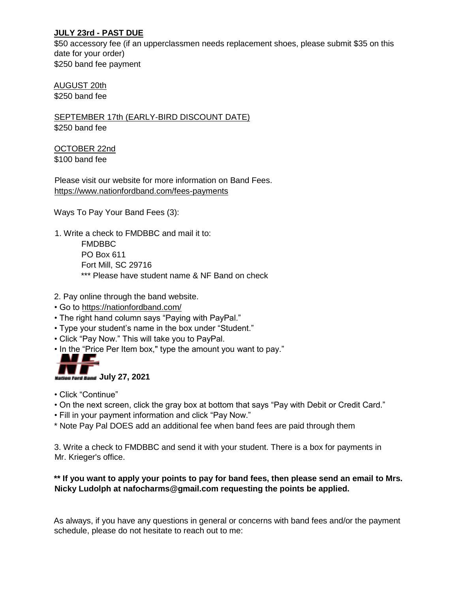# **JULY 23rd - PAST DUE**

\$50 accessory fee (if an upperclassmen needs replacement shoes, please submit \$35 on this date for your order) \$250 band fee payment

AUGUST 20th \$250 band fee

SEPTEMBER 17th (EARLY-BIRD DISCOUNT DATE) \$250 band fee

OCTOBER 22nd \$100 band fee

Please visit our website for more information on Band Fees. https://www.nationfordband.com/fees-payments

Ways To Pay Your Band Fees (3):

- 1. Write a check to FMDBBC and mail it to: FMDBBC PO Box 611 Fort Mill, SC 29716 \*\*\* Please have student name & NF Band on check
- 2. Pay online through the band website.
- Go to https://nationfordband.com/
- The right hand column says "Paying with PayPal."
- Type your student's name in the box under "Student."
- Click "Pay Now." This will take you to PayPal.
- In the "Price Per Item box," type the amount you want to pay."



- Click "Continue"
- On the next screen, click the gray box at bottom that says "Pay with Debit or Credit Card."
- Fill in your payment information and click "Pay Now."
- \* Note Pay Pal DOES add an additional fee when band fees are paid through them

3. Write a check to FMDBBC and send it with your student. There is a box for payments in Mr. Krieger's office.

## **\*\* If you want to apply your points to pay for band fees, then please send an email to Mrs. Nicky Ludolph at nafocharms@gmail.com requesting the points be applied.**

As always, if you have any questions in general or concerns with band fees and/or the payment schedule, please do not hesitate to reach out to me: